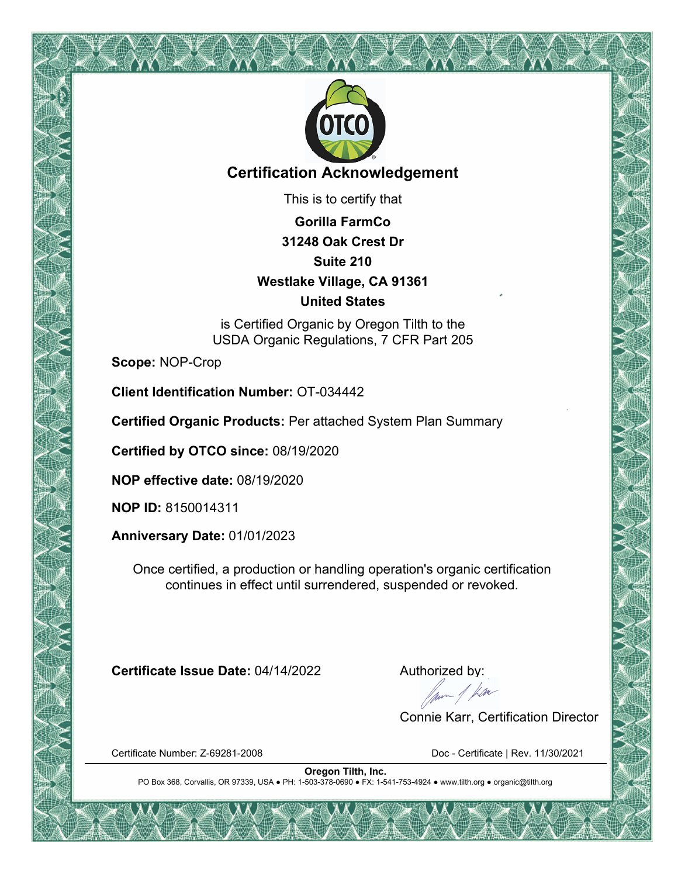

# **Certification Acknowledgement**

This is to certify that

**Gorilla FarmCo 31248 Oak Crest Dr Suite 210 Westlake Village, CA 91361 United States**

is Certified Organic by Oregon Tilth to the USDA Organic Regulations, 7 CFR Part 205

**Scope:** NOP-Crop

**Client Identification Number:** OT-034442

**Certified Organic Products:** Per attached System Plan Summary

**Certified by OTCO since:** 08/19/2020

**NOP effective date:** 08/19/2020

**NOP ID:** 8150014311

**Anniversary Date:** 01/01/2023

Once certified, a production or handling operation's organic certification continues in effect until surrendered, suspended or revoked.

**Certificate Issue Date:** 04/14/2022 Authorized by:<br>Authorized by:<br>Alternative and the set of the set of the set of the set of the set of the set of the set of the set of the set o

Connie Karr, Certification Director

Certificate Number: Z-69281-2008 Doc - Certificate | Rev. 11/30/2021

**Oregon Tilth, Inc.** PO Box 368, Corvallis, OR 97339, USA ● PH: 1-503-378-0690 ● FX: 1-541-753-4924 ● www.tilth.org ● organic@tilth.org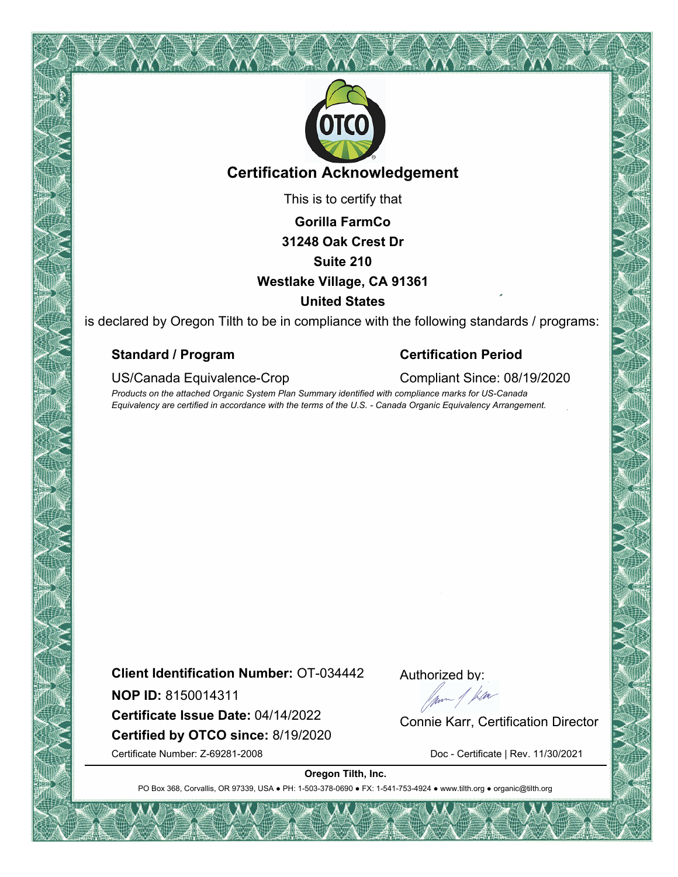

# **Certification Acknowledgement**

This is to certify that

**Gorilla FarmCo 31248 Oak Crest Dr Suite 210 Westlake Village, CA 91361 United States**

is declared by Oregon Tilth to be in compliance with the following standards / programs:

### **Standard / Program Certification Period**

### US/Canada Equivalence-Crop Compliant Since: 08/19/2020

*Products on the attached Organic System Plan Summary identified with compliance marks for US-Canada Equivalency are certified in accordance with the terms of the U.S. - Canada Organic Equivalency Arrangement.*

**Client Identification Number:** OT-034442

**NOP ID:** 8150014311

**Certified by OTCO since:** 8/19/2020 **NOP ID:** 8150014311<br>**Certificate Issue Date:** 04/14/2022 Connie Karr, Certification Director

Authorized by:

Certificate Number: Z-69281-2008 Doc - Certificate | Rev. 11/30/2021

**Oregon Tilth, Inc.**

PO Box 368, Corvallis, OR 97339, USA . PH: 1-503-378-0690 · FX: 1-541-753-4924 · www.tilth.org · organic@tilth.org